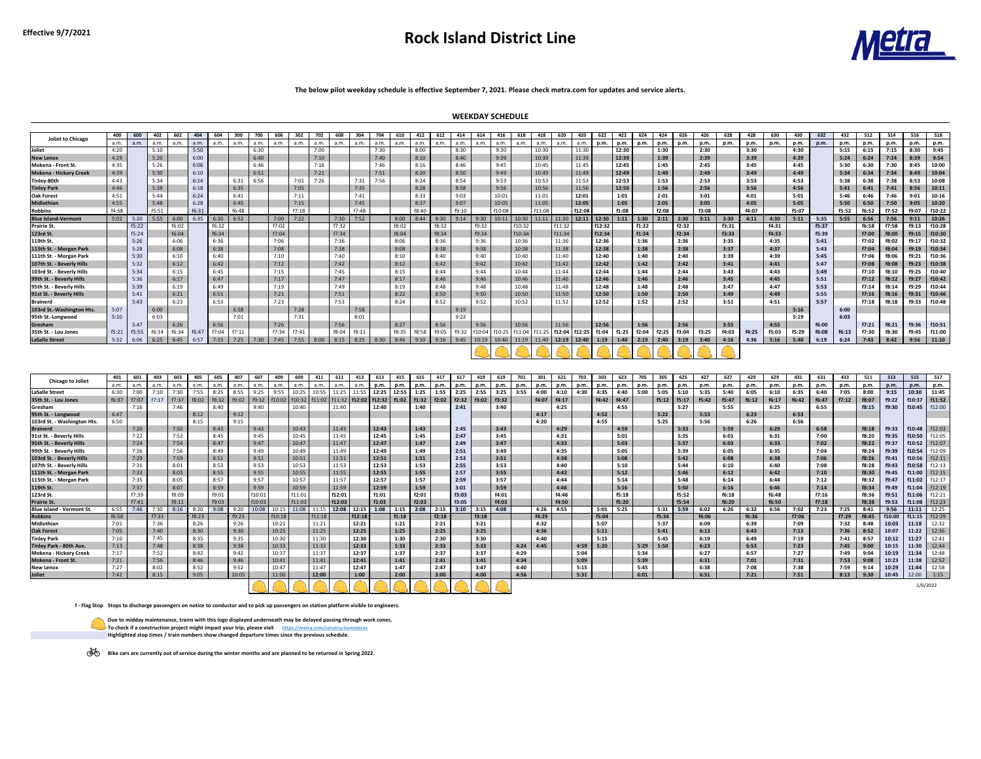# **Effective 9/7/2021 Rock Island District Line**



| <b>Joliet to Chicago</b>      | 400   | 600   | 402   | 602   | 404   | 604   | 300   | 700  | 606   | 302   | 702  | 608   | 304   | 704  | 610   | 412         | 612   | 414         | 614                           | 416    | 618               | 418    | 620                                  | 420     | 622    | 422   | 624   | 424   | 626   | 426   | 628   | 428   | 630   | 430   | 632   | 432   | 512   | 514   | 516   | 518      |
|-------------------------------|-------|-------|-------|-------|-------|-------|-------|------|-------|-------|------|-------|-------|------|-------|-------------|-------|-------------|-------------------------------|--------|-------------------|--------|--------------------------------------|---------|--------|-------|-------|-------|-------|-------|-------|-------|-------|-------|-------|-------|-------|-------|-------|----------|
|                               | a.m.  | a.m.  | a.m.  | a.m.  | a.m.  | a.m.  | a.m.  | a.m. | a.m.  | a.m.  | a.m. | a.m.  | a.m.  | a.m. | a.m.  | a.m.        | a.m.  | a.m.        | a.m.                          | a.m.   | a.m.              | .a.m   | a.m.                                 | a.m.    | p.m.   | p.m.  | p.m.  | p.m.  | p.m.  | p.m.  | p.m.  | p.m.  | p.m.  | p.m.  | p.m.  | p.m.  | p.m.  | p.m.  | p.m.  | p.m.     |
| Joliet                        | 4:20  |       | 5:10  |       | 5:50  |       |       | 6:30 |       |       | 7:00 |       |       | 7:30 |       | 8:00        |       | 8:30        |                               | 9:30   |                   | 10:30  |                                      | 11:30   |        | 12:30 |       | 1:30  |       | 2:30  |       | 3:30  |       | 4:30  |       | 5:15  | 6:15  | 7:15  | 8:30  | 9:45     |
| <b>New Lenox</b>              | 4:29  |       | 5:20  |       | 6:00  |       |       | 6:40 |       |       | 7:10 |       |       | 7:40 |       | 8:10        |       | 8:40        |                               | 9:39   |                   | 10:39  |                                      | $11:39$ |        | 12:39 |       | 1:39  |       | 2:39  |       | 3:39  |       | 4:39  |       | 5:24  | 6:24  | 7:24  | 8:39  | 9:54     |
| Mokena - Front St.            | 4:35  |       | 5:26  |       | 6:06  |       |       | 6:46 |       |       | 7:16 |       |       | 7:46 |       | 8:16        |       | 8:46        |                               | 9:45   |                   | 10:45  |                                      | 11:45   |        | 12:45 |       | 1:45  |       | 2:45  |       | 3:45  |       | 4:45  |       | 5:30  | 6:30  | 7:30  | 8:45  | 10:00    |
| <b>Mokena - Hickory Creek</b> | 4:39  |       | 5:30  |       | 6:10  |       |       | 6:51 |       |       | 7:21 |       |       | 7:51 |       | 8:20        |       | 8:50        |                               | 9:49   |                   | 10:49  |                                      | 11:49   |        | 12:49 |       | 1:49  |       | 2:49  |       | 3:49  |       | 4:49  |       | 5:34  | 6:34  | 7:34  | 8:49  | 10:04    |
| Tinley-80th                   | 4:43  |       | 5:34  |       | 6:14  |       | 6:31  | 6:56 |       | 7:01  | 7:26 |       | 7:31  | 7:56 |       | 8:24        |       | 8:54        |                               | 9:53   |                   | 10:53  |                                      | 11:53   |        | 12:53 |       | 1:53  |       | 2:53  |       | 3:53  |       | 4:53  |       | 5:38  | 6:38  | 7:38  | 8:53  | 10:08    |
| <b>Tinley Park</b>            | 4:46  |       | 5:38  |       | 6:18  |       | 6:35  |      |       | 7:05  |      |       | 7:35  |      |       | 8:28        |       | 8:58        |                               | 9:56   |                   | 10:56  |                                      | 11:56   |        | 12:56 |       | 1:56  |       | 2:56  |       | 3:56  |       | 4:56  |       | 5:41  | 6:41  | 7:41  | 8:56  | 10:11    |
| <b>Oak Forest</b>             | 4:51  |       | 5:44  |       | 6:24  |       | 6:41  |      |       | 7:11  |      |       | 7:41  |      |       | 8:33        |       | 9:03        |                               | 10:01  |                   | 11:01  |                                      | 12:01   |        | 1:01  |       | 2:01  |       | 3:01  |       | 4:01  |       | 5:01  |       | 5:46  | 6:46  | 7:46  | 9:01  | 10:16    |
| Midlothian                    | 4:55  |       | 5:48  |       | 6:28  |       | 6:45  |      |       | 7:15  |      |       | 7:45  |      |       | 8:37        |       | 9:07        |                               | 10:05  |                   | 11:05  |                                      | 12:05   |        | 1:05  |       | 2:05  |       | 3:05  |       | 4:05  |       | 5:05  |       | 5:50  | 6:50  | 7:50  | 9:05  | 10:20    |
| <b>Robbins</b>                | f4:58 |       | f5:51 |       | f6:31 |       | f6:48 |      |       | f7:18 |      |       | f7:48 |      |       | f8:40       |       | f9:10       |                               | f10:08 |                   | f11:08 |                                      | f12:08  |        | f1:08 |       | f2:08 |       | f3:08 |       | f4:07 |       | f5:07 |       | f5:52 | f6:52 | f7:52 | f9:07 | f10:22   |
| <b>Blue Island-Vermont</b>    | 5:02  | 5:20  | 5:55  | 6:00  | 6:35  | 6:30  | 6:52  |      | 7:00  | 7:22  |      | 7:30  | 7:52  |      |       | $8:00$ 8:44 | 8:30  | $9:14$ 9:30 |                               | 10:11  | $10:30$ 11:11     |        | 11:30   12:11   12:30                |         |        | 1:11  | 1:30  | 2:11  | 2:30  | 3:11  | 3:30  | 4:11  | 4:30  | 5:11  | 5:35  | 5:55  | 6:56  | 7:56  | 9:11  | 10:26    |
| <b>Prairie St.</b>            |       | f5:22 |       | f6:02 |       | f6:32 |       |      | f7:02 |       |      | f7:32 |       |      | f8:02 |             | f8:32 |             | f9:32                         |        | f10:32            |        | f11:32                               |         | f12:32 |       | f1:32 |       | f2:32 |       | f3:31 |       | f4:31 |       | f5:37 |       | f6:58 | f7:58 | f9:13 | f10:28   |
| 123rd St.                     |       | f5:24 |       | f6:04 |       | f6:34 |       |      | f7:04 |       |      | f7:34 |       |      | f8:04 |             | f8:34 |             | f9:34                         |        | f10:34            |        | f11:34                               |         | f12:34 |       | f1:34 |       | f2:34 |       | f3:33 |       | f4:33 |       | f5:39 |       | f7:00 | f8:00 | f9:15 | $f10:30$ |
| 119th St.                     |       | 5:26  |       | 6:06  |       | 6:36  |       |      | 7:06  |       |      | 7:36  |       |      | 8:06  |             | 8:36  |             | 9:36                          |        | 10:36             |        | 11:36                                |         | 12:36  |       | 1:36  |       | 2:36  |       | 3:35  |       | 4:35  |       | 5:41  |       | f7:02 | f8:02 | f9:17 | f10:32   |
| 115th St. - Morgan Park       |       | 5:28  |       | 6:08  |       | 6:38  |       |      | 7:08  |       |      | 7:38  |       |      | 8:08  |             | 8:38  |             | 9:38                          |        | 10:38             |        | 11:38                                |         | 12:38  |       | 1:38  |       | 2:38  |       | 3:37  |       | 4:37  |       | 5:43  |       | f7:04 | f8:04 | f9:19 | f10:34   |
| 111th St. - Morgan Park       |       | 5:30  |       | 6:10  |       | 6:40  |       |      | 7:10  |       |      | 7:40  |       |      | 8:10  |             | 8:40  |             | 9:40                          |        | 10:40             |        | 11:40                                |         | 12:40  |       | 1:40  |       | 2:40  |       | 3:39  |       | 4:39  |       | 5:45  |       | f7:06 | f8:06 | f9:21 | f10:36   |
| 107th St. - Beverly Hills     |       | 5:32  |       | 6:12  |       | 6:42  |       |      | 7:12  |       |      | 7:42  |       |      | 8:12  |             | 8:42  |             | 9:42                          |        | 10:42             |        | 11:42                                |         | 12:42  |       | 1:42  |       | 2:42  |       | 3:41  |       | 4:41  |       | 5:47  |       | f7:08 | f8:08 | f9:23 | f10:38   |
| 103rd St. - Beverly Hills     |       | 5:34  |       | 6:15  |       | 6:45  |       |      | 7:15  |       |      | 7:45  |       |      | 8:15  |             | 8:44  |             | 9:44                          |        | 10:44             |        | 11:44                                |         | 12:44  |       | 1:44  |       | 2:44  |       | 3:43  |       | 4:43  |       | 5:49  |       | f7:10 | f8:10 | f9:25 | f10:40   |
| 99th St. - Beverly Hills      |       | 5:36  |       | 6:17  |       | 6:47  |       |      | 7:17  |       |      | 7:47  |       |      | 8:17  |             | 8:46  |             | 9:46                          |        | 10:46             |        | 11:46                                |         | 12:46  |       | 1:46  |       | 2:46  |       | 3:45  |       | 4:45  |       | 5:51  |       | f7:12 | f8:12 | f9:27 | f10:42   |
| 95th St. - Beverly Hills      |       | 5:39  |       | 6:19  |       | 6:49  |       |      | 7:19  |       |      | 7:49  |       |      | 8:19  |             | 8:48  |             | 9:48                          |        | 10:48             |        | 11:48                                |         | 12:48  |       | 1:48  |       | 2:48  |       | 3:47  |       | 4:47  |       | 5:53  |       | f7:14 | f8:14 | f9:29 | f10:44   |
| 91st St. - Beverly Hills      |       | 5:41  |       | 6:21  |       | 6:51  |       |      | 7:21  |       |      | 7:51  |       |      | 8:22  |             | 8:50  |             | 9:50                          |        | 10:50             |        | 11:50                                |         | 12:50  |       | 1:50  |       | 2:50  |       | 3:49  |       | 4:49  |       | 5:55  |       | f7:16 | f8:16 | f9:31 | f10:46   |
| <b>Brainerd</b>               |       | 5:43  |       | 6:23  |       | 6:53  |       |      | 7:23  |       |      | 7:53  |       |      | 8:24  |             | 8:52  |             | 9:52                          |        | 10:52             |        | 11:52                                |         | 12:52  |       | 1:52  |       | 2:52  |       | 3:51  |       | 4:51  |       | 5:57  |       | f7:18 | f8:18 | f9:33 | f10:48   |
| 103rd St.-Washington Hts.     | 5:07  |       | 6:00  |       |       |       | 6:58  |      |       | 7:28  |      |       | 7:58  |      |       |             |       | 9:19        |                               |        |                   |        |                                      |         |        |       |       |       |       |       |       |       |       | 5:16  |       | 6:00  |       |       |       |          |
| 95th St.-Longwood             | 5:10  |       | 6:03  |       |       |       | 7:01  |      |       | 7:31  |      |       | 8:01  |      |       |             |       | 9:22        |                               |        |                   |        |                                      |         |        |       |       |       |       |       |       |       |       | 5:19  |       | 6:03  |       |       |       |          |
| Gresham                       |       | 5:47  |       | 6:26  |       | 6:56  |       |      | 7:26  |       |      | 7:56  |       |      | 8:27  |             | 8:56  |             | 9:56                          |        | 10:56             |        | 11:56                                |         | 12:56  |       | 1:56  |       | 2:56  |       | 3:55  |       | 4:55  |       | f6:00 |       | f7:21 | f8:21 | f9:36 | f10:51   |
| 35th St. - Lou Jones          | f5:21 | f5:55 | f6:14 | f6:34 | f6:47 | f7:04 | f7:11 |      | f7:34 | f7:41 |      | f8:04 | f8:11 |      | f8:35 | f8:58       | f9:05 |             | $f9:32$   $f10:04$   $f10:25$ |        | $f11:04$ $f11:25$ |        | f12:04 f12:25                        |         | f1:04  | f1:25 | f2:04 | f2:25 | f3:04 | f3:25 | f4:03 | f4:25 | f5:03 | f5:29 | f6:08 | f6:13 | f7:30 | f8:30 | f9:45 | f11:00   |
| <b>LaSalle Street</b>         | 5:32  | 6:06  | 6:25  | 6:45  | 6:57  | 7:15  | 7:25  |      | 7:45  | 7:55  | 8:00 | 8:15  | 8:25  | 8:30 | 8:46  | 9:10        | 9:16  | 9:45        | 10:19                         | 10:40  |                   |        | 11:19   11:40   12:19   12:40   1:19 |         |        | 1:40  | 2:19  | 2:40  | 3:19  | 3:40  | 4:16  | 4:36  | 5:16  | 5:40  | 6:19  | 6:24  | 7:43  | 8:42  | 9:56  | 11:10    |
|                               |       |       |       |       |       |       |       |      |       |       |      |       |       |      |       |             |       |             |                               |        |                   |        |                                      |         |        |       |       |       |       |       |       |       |       |       |       |       |       |       |       |          |

| <b>Chicago to Joliet</b>        | 401   |                   | 403   | 603           | 405   | 605   | 407   | 607             | 409    | 609    | 411                                                                       | 611           | 613<br>413     | 415   | 615               | 417   | 617               | 419   | 619   | 701  | 301   | 621   | 703  | 303   | 623   | 705  | 305   | 625   | 427   | 627   | 429   | 629   | 431   | 631   | 433   | 511   | 513    | 515    | 517                  |
|---------------------------------|-------|-------------------|-------|---------------|-------|-------|-------|-----------------|--------|--------|---------------------------------------------------------------------------|---------------|----------------|-------|-------------------|-------|-------------------|-------|-------|------|-------|-------|------|-------|-------|------|-------|-------|-------|-------|-------|-------|-------|-------|-------|-------|--------|--------|----------------------|
|                                 | a.m.  | a.m.              | a.m.  | a.m.          | .a.m  | a.m   | a.m.  | a.m             | a.m.   | a.m.   | a.m.                                                                      | a.m.          | a.m.<br>p.m.   | p.m.  | p.m.              | p.m.  | p.m.              | p.m.  | p.m.  | p.m. | p.m.  | p.m.  | p.m. | p.m.  | p.m.  | p.m. | p.m.  | p.m.  | p.m.  | p.m.  | p.m.  | p.m.  | p.m.  | p.m.  | p.m.  | p.m.  | p.m.   | p.m.   | p.m.                 |
| LaSalle Street                  | 6:30  | 7:00              | 7:10  | 7:30          | 7:55  | 8:25  | 8:55  | 9:25            | 9:55   | 10:25  | 10:55                                                                     | 11:25         | 12:25<br>11:55 | 12:55 | 1:25              | 1:55  | 2:25              | 2:55  | 3:25  | 3:55 | 4:00  | 4:10  | 4:30 | 4:35  | 4:40  | 5:00 | 5:05  | 5:10  | 5:35  | 5:40  | 6:05  | 6:10  | 6:35  | 6:40  | 7:05  | 8:00  | 9:15   | 10:30  | 11:45                |
| 35th St. - Lou Jones            |       | $f6:37$   $f7:07$ | f7:17 | $f7:37$ f8:02 |       | f8:32 |       | $f9:02$ $f9:32$ |        |        | $f10:02$   $f10:32$   $f11:02$   $f11:32$   $f12:02$   $f12:32$   $f1:02$ |               |                |       | $f1:32$   $f2:02$ |       | $f2:32$   $f3:02$ |       | f3:32 |      | f4:07 | f4:17 |      | f4:42 | f4:47 |      | f5:12 | f5:17 | f5:42 | f5:47 | f6:12 | f6:17 | f6:42 | f6:47 | f7:12 | f8:07 | f9:22  | f10:37 | $\big $ f11:52       |
| Gresham                         |       | 7:16              |       | 7:46          |       | 8:40  |       | 9:40            |        | 10:40  |                                                                           | L1:40         | 12:40          |       | 1:40              |       | 2:41              |       | 3:40  |      |       | 4:25  |      |       | 4:55  |      |       | 5:27  |       | 5:55  |       | 6:25  |       | 6:55  |       | f8:15 | f9:30  |        | $f10:45$   $f12:00$  |
| 95th St. - Longwood             | 6:47  |                   |       |               | 8:12  |       | 9:12  |                 |        |        |                                                                           |               |                |       |                   |       |                   |       |       |      | 4:17  |       |      | 4:52  |       |      | 5:22  |       | 5:53  |       | 6:23  |       | 6:53  |       |       |       |        |        |                      |
| 103rd St. - Washington Hts.     | 6:50  |                   |       |               | 8:15  |       | 9:15  |                 |        |        |                                                                           |               |                |       |                   |       |                   |       |       |      | 4:20  |       |      | 4:55  |       |      | 5:25  |       | 5:56  |       | 6:26  |       | 6:56  |       |       |       |        |        |                      |
| <b>Brainerd</b>                 |       | 7:20              |       | 7:50          |       | 8:43  |       | 9:43            |        | 10:43  |                                                                           | 11:43         | 12:43          |       | 1:43              |       | 2:45              |       | 3:43  |      |       | 4:29  |      |       | 4:59  |      |       | 5:33  |       | 5:59  |       | 6:29  |       | 6:58  |       | f8:18 | f9:33  |        | $f10:48$   $f12:03$  |
| 91st St. - Beverly Hills        |       | 7:22              |       | 7:52          |       | 8:45  |       | 9:45            |        | 10:45  |                                                                           | 11:45         | 12:45          |       | 1:45              |       | 2:47              |       | 3:45  |      |       | 4:31  |      |       | 5:01  |      |       | 5:35  |       | 6:01  |       | 6:31  |       | 7:00  |       | f8:20 | f9:35  | f10:50 | f12:05               |
| 95th St. - Beverly Hills        |       | 7:24              |       | 7:54          |       | 8:47  |       | 9:47            |        | 10:47  |                                                                           | 11:47         | 12:47          |       | 1:47              |       | 2:49              |       | 3:47  |      |       | 4:33  |      |       | 5:03  |      |       | 5:37  |       | 6:03  |       | 6:33  |       | 7:02  |       | f8:22 | f9:37  | f10:52 | f12:07               |
| 99th St. - Beverly Hills        |       | 7:26              |       | 7:56          |       | 8:49  |       | 9:49            |        | 10:49  |                                                                           | 11:49         | 12:49          |       | 1:49              |       | 2:51              |       | 3:49  |      |       | 4:35  |      |       | 5:05  |      |       | 5:39  |       | 6:05  |       | 6:35  |       | 7:04  |       | f8:24 | f9:39  | f10:54 | f12:09               |
| 103rd St. - Beverly Hills       |       | 7:29              |       | 7:59          |       | 8:51  |       | 9:51            |        | 10:51  |                                                                           | 11:51         | 12:51          |       | 1:51              |       | 2:53              |       | 3:51  |      |       | 4:38  |      |       | 5:08  |      |       | 5:42  |       | 6:08  |       | 6:38  |       | 7:06  |       | f8:26 | f9:41  | f10:56 | f12:11               |
| 107th St. - Beverly Hills       |       | 7:31              |       | 8:01          |       | 8:53  |       | 9:53            |        | 10:53  |                                                                           | 11:53         | 12:53          |       | 1:53              |       | 2:55              |       | 3:53  |      |       | 4:40  |      |       | 5:10  |      |       | 5:44  |       | 6:10  |       | 6:40  |       | 7:08  |       | f8:28 | f9:43  | f10:58 | f12:13               |
| 111th St. - Morgan Park         |       | 7:33              |       | 8:03          |       | 8:55  |       | 9:55            |        | 10:55  |                                                                           | 11:55         | 12:55          |       | 1:55              |       | 2:57              |       | 3:55  |      |       | 4:42  |      |       | 5:12  |      |       | 5:46  |       | 6:12  |       | 6:42  |       | 7:10  |       | f8:30 | f9:45  | f11:00 | f12:15               |
| 115th St. - Morgan Park         |       | 7:35              |       | 8:05          |       | 8:57  |       | 9:57            |        | 10:57  |                                                                           | 11:57         | 12:57          |       | 1:57              |       | 2:59              |       | 3:57  |      |       | 4:44  |      |       | 5:14  |      |       | 5:48  |       | 6:14  |       | 6:44  |       | 7:12  |       | f8:32 | f9:47  | f11:02 | f12:17               |
| 119th St.                       |       | 7:37              |       | 8:07          |       | 8:59  |       | 9:59            |        | 10:59  |                                                                           | 11:59         | 12:59          |       | 1:59              |       | 3:01              |       | 3:59  |      |       | 4:46  |      |       | 5:16  |      |       | 5:50  |       | 6:16  |       | 6:46  |       | 7:14  |       | f8:34 | f9:49  | f11:04 | f12:19               |
| 123rd St.                       |       | f7:39             |       | f8:09         |       | f9:01 |       | f10:01          |        | f11:01 |                                                                           | f12:01        | f1:01          |       | f2:01             |       | f3:03             |       | f4:01 |      |       | f4:48 |      |       | f5:18 |      |       | f5:52 |       | f6:18 |       | f6:48 |       | f7:16 |       | f8:36 | f9:51  | f11:06 | f12:21               |
| <b>Prairie St.</b>              |       | f7:41             |       | f8:11         |       | f9:03 |       | $\vert$ f10:03  |        | f11:03 |                                                                           | f12:03        | f1:03          |       | f2:03             |       | f3:05             |       | f4:03 |      |       | f4:50 |      |       | f5:20 |      |       | f5:54 |       | f6:20 |       | f6:50 |       | f7:18 |       | f8:38 | f9:53  | f11:08 | $\frac{1}{2}$ f12:23 |
| <b>Blue Island - Vermont St</b> | 6:55  | 7:46              | 7:30  | 8:16          | 8:20  | 9:08  | 9:20  | 10:08           | 10:15  | 11:08  | 11:15                                                                     | $12:08$ 12:15 | 1:08           | 1:15  | 2:08              | 2:15  | 3:10              | 3:15  | 4:08  |      | 4:26  | 4:55  |      | 5:01  | 5:25  |      | 5:31  | 5:59  | 6:02  | 6:26  | 6:32  | 6:56  | 7:02  | 7:23  | 7:25  | 8:41  | 9:56   | 11:11  | 12:25                |
| <b>Robbins</b>                  | f6:58 |                   | f7:33 |               | f8:23 |       | f9:23 |                 | f10:18 |        | f11:18                                                                    |               | f12:18         | f1:18 |                   | f2:18 |                   | f3:18 |       |      | f4:29 |       |      | f5:04 |       |      | f5:34 |       | f6:06 |       | f6:36 |       | f7:06 |       | f7:29 | f8:45 | f10:00 |        | $f11:15$   $f12:29$  |
| Midlothian                      | 7:01  |                   | 7:36  |               | 8:26  |       | 9:26  |                 | 10:21  |        | 11:21                                                                     |               | 12:21          | 1:21  |                   | 2:21  |                   | 3:21  |       |      | 4:32  |       |      | 5:07  |       |      | 5:37  |       | 6:09  |       | 6:39  |       | 7:09  |       | 7:32  | 8:48  | 10:03  | 11:18  | 12:32                |
| <b>Oak Forest</b>               | 7:05  |                   | 7:40  |               | 8:30  |       | 9:30  |                 | 10:25  |        | 11:25                                                                     |               | 12:25          | 1:25  |                   | 2:25  |                   | 3:25  |       |      | 4:36  |       |      | 5:11  |       |      | 5:41  |       | 6:13  |       | 6:43  |       | 7:13  |       | 7:36  | 8:52  | 10:07  | 11:22  | $12:36$              |
| <b>Tinley Park</b>              | 7:10  |                   | 7:45  |               | 8:35  |       | 9:35  |                 | 10:30  |        | 11:30                                                                     |               | 12:30          | 1:30  |                   | 2:30  |                   | 3:30  |       |      | 4:40  |       |      | 5:15  |       |      | 5:45  |       | 6:19  |       | 6:49  |       | 7:19  |       | 7:41  | 8:57  | 10:12  | 11:27  | 12:41                |
| Tinley Park - 80th Ave.         | 7:13  |                   | 7:48  |               | 8:38  |       | 9:38  |                 | 10:33  |        | 11:33                                                                     |               | 12:33          | 1:33  |                   | 2:33  |                   | 3:33  |       | 4:24 | 4:45  |       | 4:59 | 5:20  |       | 5:29 | 5:50  |       | 6:23  |       | 6:53  |       | 7:23  |       | 7:45  | 9:00  | 10:15  | 11:30  | 12:44                |
| Mokena - Hickory Creek          | 7:17  |                   | 7:52  |               | 8:42  |       | 9:42  |                 | 10:37  |        | 11:37                                                                     |               | 12:37          | 1:37  |                   | 2:37  |                   | 3:37  |       | 4:29 |       |       | 5:04 |       |       | 5:34 |       |       | 6:27  |       | 6:57  |       | 7:27  |       | 7:49  | 9:04  | 10:19  | 11:34  | 12:48                |
| Mokena - Front St.              | 7:21  |                   | 7:56  |               | 8:46  |       | 9:46  |                 | 10:41  |        | 11:41                                                                     |               | 12:41          | 1:41  |                   | 2:41  |                   | 3:41  |       | 4:34 |       |       | 5:09 |       |       | 5:39 |       |       | 6:31  |       | 7:01  |       | 7:31  |       | 7:53  | 9:08  | 10:23  | L1:38  | 12:52                |
| <b>New Lenox</b>                | 7:27  |                   | 8:02  |               | 8:52  |       | 9:52  |                 | 10:47  |        | 11:47                                                                     |               | 12:47          | 1:47  |                   | 2:47  |                   | 3:47  |       | 4:40 |       |       | 5:15 |       |       | 5:45 |       |       | 6:38  |       | 7:08  |       | 7:38  |       | 7:59  | 9:14  | 10:29  | 11:44  | 12:58                |
| <b>Joliet</b>                   | 7:42  |                   | 8:15  |               | 9:05  |       | 10:05 |                 | 11:00  |        | 12:00                                                                     |               | 1:00           | 2:00  |                   | 3:00  |                   | 4:00  |       | 4:56 |       |       | 5:31 |       |       | 6:01 |       |       | 6:51  |       | 7:21  |       | 7:51  |       | 8:13  | 9:30  | 10:45  | 12:00  | 1:15                 |
|                                 |       |                   |       |               |       |       |       |                 |        |        |                                                                           |               |                |       |                   |       |                   |       |       |      |       |       |      |       |       |      |       |       |       |       |       |       |       |       |       |       |        |        | 1/6/2022             |

**f - Flag Stop Stops to discharge passengers on notice to conductor and to pick up passengers on station platform visible to engineers.**



**Due to midday maintenance, trains with this logo displayed underneath may be delayed passing through work zones. To check if a construction project might impact your trip, please visit**  https://metra.com/constructionnotices**Highlighted stop times / train numbers show changed departure times since the previous schedule.** 



Bike cars are currently out of service during the winter months and are planned to be returned in Spring 2022.

**The below pilot weekday schedule is effective September 7, 2021. Please check metra.com for updates and service alerts.**

### **WEEKDAY SCHEDULE**